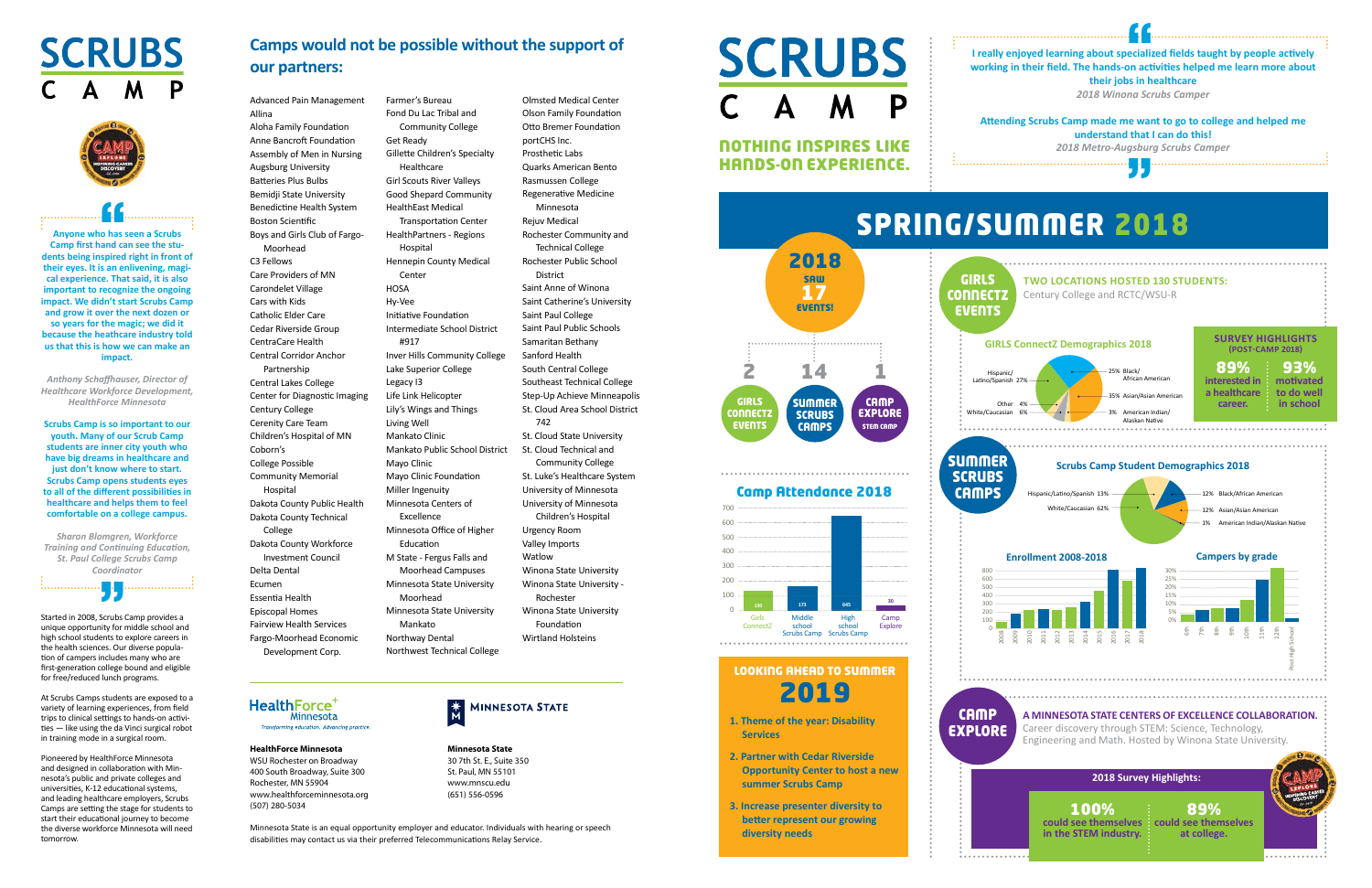GIRLS **CONNECT EVENTS**  SUMMER **SCRUBS CAMPS** 

**CAMP** EXPLORE STEM CAMP

P NOTHING INSPIRES LIKE HANDS-ON EXPERIENCE. 2018 SAW 17 EVENTS! 2 14 1

**SCRUBS** 

GIRLS

**EVENTS** 

Camp Attendance 2018

## LOOKING AHEAD TO SUMMER 2019

Girls Middle High Camp<br>
onnectZ school school Explore ConnectZ school school<br>Scrubs Camp Scrubs Camp

- **1. Theme of the year: Disability Services**
- **2. Partner with Cedar Riverside Opportunity Center to host a new summer Scrubs Camp**
- **3. Increase presenter diversity to better represent our growing diversity needs**

**SUMMER SCRUBS CAMPS** 800  $600$ 500 400 300 200 100 0 2008 Hispanic/ Latino/Spanish 27% White/Caucasian 6%

**CAMP** 



**<sup>645</sup>30 130 <sup>173</sup>**

Advanced Pain Management Allina Aloha Family Foundation Anne Bancroft Foundation Assembly of Men in Nursing Augsburg University Batteries Plus Bulbs Bemidji State University Benedictine Health System Boston Scientific Boys and Girls Club of Fargo-Moorhead C3 Fellows Care Providers of MN Carondelet Village Cars with Kids Catholic Elder Care Cedar Riverside Group CentraCare Health Central Corridor Anchor Partnership Central Lakes College Center for Diagnostic Imaging Century College Cerenity Care Team Children's Hospital of MN Coborn's College Possible Community Memorial Hospital Dakota County Public Health Dakota County Technical College Dakota County Workforce Investment Council Delta Dental Ecumen Essentia Health Episcopal Homes Fairview Health Services Fargo-Moorhead Economic Development Corp.

**HealthForce** Minnesota

forming education. Advancing practice

Farmer's Bureau





 $\left| \cdot \right|$ <br> $\left| \cdot \right|$ <br> $\left| \cdot \right|$ <br>and  $\left| \cdot \right|$ **Anyone who has seen a Scrubs Camp first hand can see the students being inspired right in front of their eyes. It is an enlivening, magical experience. That said, it is also important to recognize the ongoing impact. We didn't start Scrubs Camp and grow it over the next dozen or so years for the magic; we did it because the heathcare industry told us that this is how we can make an impact.**

Fond Du Lac Tribal and Community College Get Ready Gillette Children's Specialty Healthcare Girl Scouts River Valleys Good Shepard Community HealthEast Medical Transportation Center HealthPartners - Regions Hospital Hennepin County Medical Center **HOSA** Hy-Vee Initiative Foundation Intermediate School District #917 Inver Hills Community College Lake Superior College Legacy I3 Life Link Helicopter Lily's Wings and Things Living Well Mankato Clinic Mankato Public School District Mayo Clinic Mayo Clinic Foundation Miller Ingenuity Minnesota Centers of Excellence Minnesota Office of Higher Education M State - Fergus Falls and Moorhead Campuses Minnesota State University Moorhead Minnesota State University Mankato Northway Dental

Northwest Technical College

Olmsted Medical Center Olson Family Foundation Otto Bremer Foundation portCHS Inc. Prosthetic Labs Quarks American Bento Rasmussen College Regenerative Medicine Minnesota Rejuv Medical Rochester Community and Technical College Rochester Public School District Saint Anne of Winona Saint Catherine's University Saint Paul College Saint Paul Public Schools Samaritan Bethany Sanford Health South Central College Southeast Technical College Step-Up Achieve Minneapolis St. Cloud Area School District 742 St. Cloud State University St. Cloud Technical and Community College St. Luke's Healthcare System University of Minnesota University of Minnesota Children's Hospital Urgency Room Valley Imports Watlow Winona State University Winona State University - Rochester Winona State University Foundation Wirtland Holsteins



**HealthForce Minnesota** WSU Rochester on Broadway 400 South Broadway, Suite 300 Rochester, MN 55904 www.healthforceminnesota.org (507) 280-5034

**Minnesota State**  30 7th St. E., Suite 350 St. Paul, MN 55101 www.mnscu.edu (651) 556-0596

Minnesota State is an equal opportunity employer and educator. Individuals with hearing or speech disabilities may contact us via their preferred Telecommunications Relay Service.

### **Camps would not be possible without the support of our partners:**

Started in 2008, Scrubs Camp provides a unique opportunity for middle school and high school students to explore careers in the health sciences. Our diverse population of campers includes many who are first-generation college bound and eligible for free/reduced lunch programs.

At Scrubs Camps students are exposed to a variety of learning experiences, from field trips to clinical settings to hands-on activities — like using the da Vinci surgical robot in training mode in a surgical room.

Pioneered by HealthForce Minnesota and designed in collaboration with Minnesota's public and private colleges and universities, K-12 educational systems, and leading healthcare employers, Scrubs Camps are setting the stage for students to start their educational journey to become the diverse workforce Minnesota will need tomorrow.

" *CoordinatorSharon Blomgren, Workforce Training and Continuing Education, St. Paul College Scrubs Camp* 

.<br>. . . . . . . . . . . . . .

. . . . . . . . . . . . . . . . . .

*Anthony Schaffhauser, Director of Healthcare Workforce Development, HealthForce Minnesota*

**Scrubs Camp is so important to our youth. Many of our Scrub Camp students are inner city youth who have big dreams in healthcare and just don't know where to start. Scrubs Camp opens students eyes to all of the different possibilities in healthcare and helps them to feel comfortable on a college campus.**